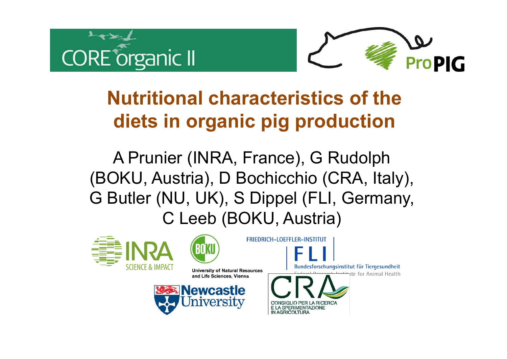



# **Nutritional characteristics of the diets in organic pig production**

A Prunier (INRA, France), G Rudolph (BOKU, Austria), D Bochicchio (CRA, Italy), G Butler (NU, UK), S Dippel (FLI, Germany, C Leeb (BOKU, Austria)

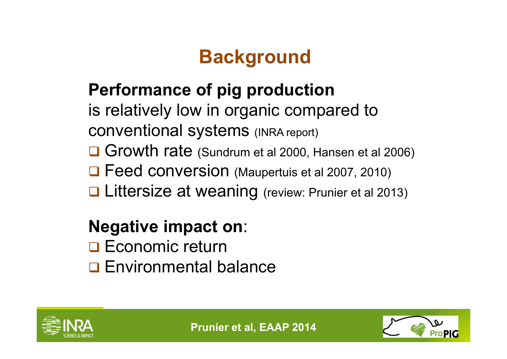# **Background**

#### **Performance of pig production**

is relatively low in organic compared to conventional systems (INRA report)

Growth rate (Sundrum et al 2000, Hansen et al 2006)

□ Feed conversion (Maupertuis et al 2007, 2010)

**Littersize at weaning (review: Prunier et al 2013)** 

#### **Negative impact on**:

**□ Economic return Q** Environmental balance



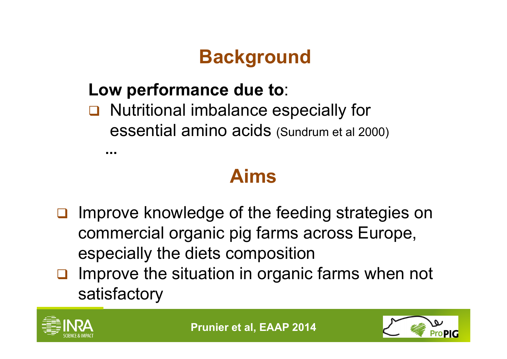# **Background**

#### **Low performance due to**:

#### **Q** Nutritional imbalance especially for essential amino acids (Sundrum et al 2000)

**...**

## **Aims**

- $\Box$  Improve knowledge of the feeding strategies on commercial organic pig farms across Europe, especially the diets composition
- $\Box$  Improve the situation in organic farms when not satisfactory



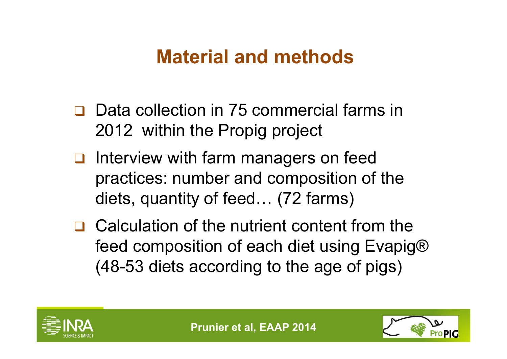### **Material and methods**

- **□** Data collection in 75 commercial farms in 2012 within the Propig project
- $\Box$  Interview with farm managers on feed practices: number and composition of the diets, quantity of feed… (72 farms)
- $\Box$  Calculation of the nutrient content from the feed composition of each diet using Evapig® (48-53 diets according to the age of pigs)



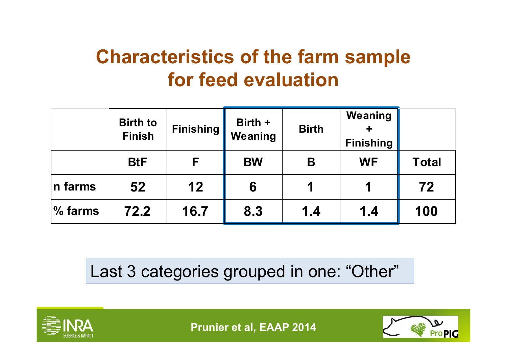## **Characteristics of the farm sample for feed evaluation**

|         | <b>Birth to</b><br><b>Finish</b> | <b>Finishing</b> | Birth +<br>Weaning | <b>Birth</b> | Weaning<br><b>Finishing</b> |              |
|---------|----------------------------------|------------------|--------------------|--------------|-----------------------------|--------------|
|         | <b>BtF</b>                       | F                | <b>BW</b>          | B            | <b>WF</b>                   | <b>Total</b> |
| n farms | 52                               | 12               | 6                  |              |                             | 72           |
| % farms | 72.2                             | 16.7             | 8.3                | 1.4          | 1.4                         | 100          |

Last 3 categories grouped in one: "Other"



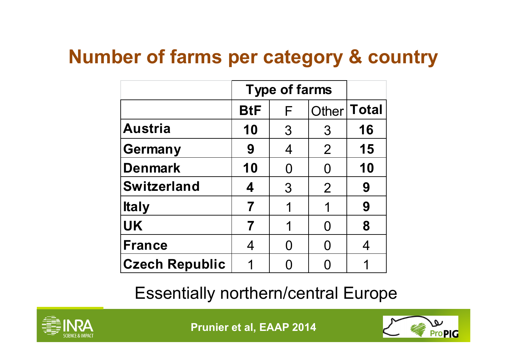## **Number of farms per category & country**

|                       | <b>Type of farms</b> |               |                |               |
|-----------------------|----------------------|---------------|----------------|---------------|
|                       | <b>BtF</b>           | F             |                | Other   Total |
| Austria               | 10                   | $\mathcal{S}$ | $\mathcal{S}$  | 16            |
| <b>Germany</b>        | 9                    | 4             | $\overline{2}$ | 15            |
| <b>Denmark</b>        | 10                   | O             | O              | 10            |
| <b>Switzerland</b>    | 4                    | 3             | $\overline{2}$ | 9             |
| <b>Italy</b>          | 7                    | 1             |                | 9             |
| <b>UK</b>             | 7                    | 1             | O              | 8             |
| <b>France</b>         | 4                    |               | ( )            |               |
| <b>Czech Republic</b> | 1                    |               |                |               |

Essentially northern/central Europe



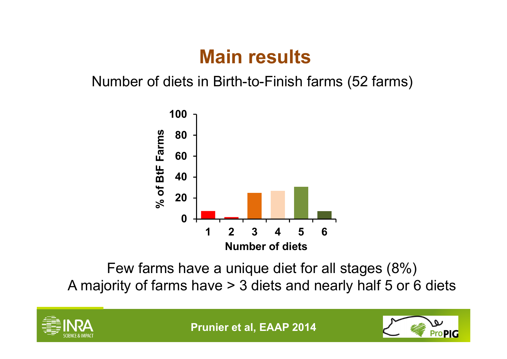### **Main results**

Number of diets in Birth-to-Finish farms (52 farms)



Few farms have a unique diet for all stages (8%) A majority of farms have > 3 diets and nearly half 5 or 6 diets



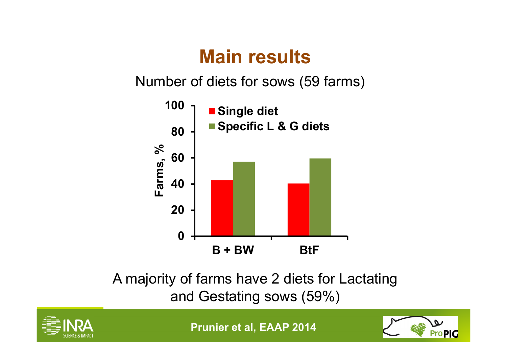## **Main results**

Number of diets for sows (59 farms)



A majority of farms have 2 diets for Lactating and Gestating sows (59%)



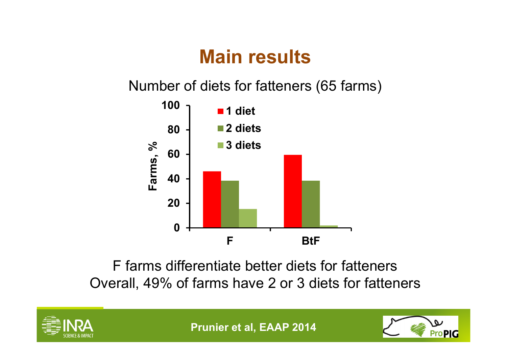### **Main results**

Number of diets for fatteners (65 farms)



F farms differentiate better diets for fatteners Overall, 49% of farms have 2 or 3 diets for fatteners



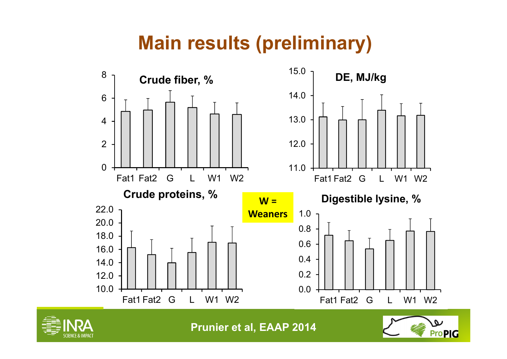# **Main results (preliminary)**





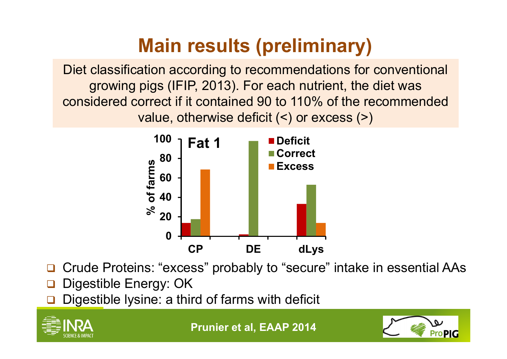# **Main results (preliminary)**

Diet classification according to recommendations for conventional growing pigs (IFIP, 2013). For each nutrient, the diet was considered correct if it contained 90 to 110% of the recommended value, otherwise deficit (<) or excess (>)



- $\Box$ Crude Proteins: "excess" probably to "secure" intake in essential AAs
- $\Box$ Digestible Energy: OK
- $\Box$ Digestible lysine: a third of farms with deficit





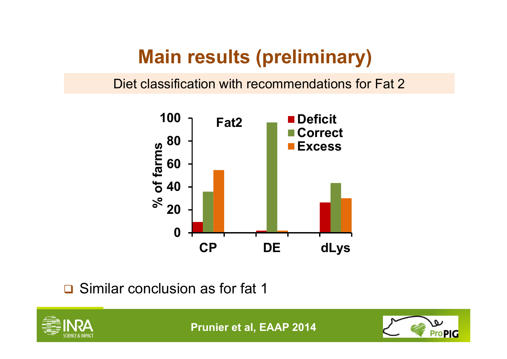## **Main results (preliminary)**

Diet classification with recommendations for Fat 2



**□** Similar conclusion as for fat 1



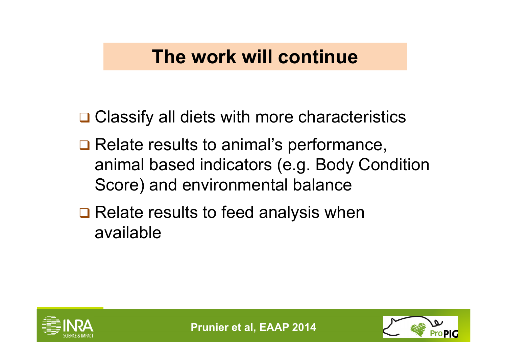#### **The work will continue**

**□ Classify all diets with more characteristics** 

- **□ Relate results to animal's performance,** animal based indicators (e.g. Body Condition Score) and environmental balance
- **□ Relate results to feed analysis when** available



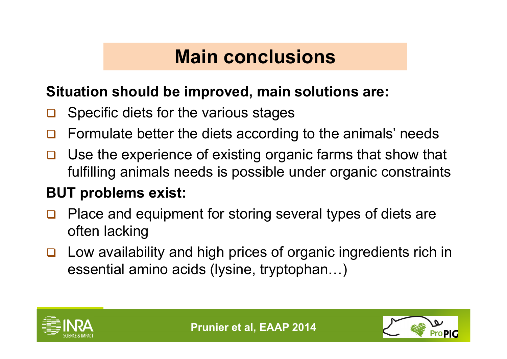#### **Main conclusions**

#### **Situation should be improved, main solutions are:**

- $\Box$ Specific diets for the various stages
- $\Box$ Formulate better the diets according to the animals' needs
- $\Box$  Use the experience of existing organic farms that show that fulfilling animals needs is possible under organic constraints

#### **BUT problems exist:**

- $\Box$  Place and equipment for storing several types of diets are often lacking
- $\Box$  Low availability and high prices of organic ingredients rich in essential amino acids (lysine, tryptophan…)